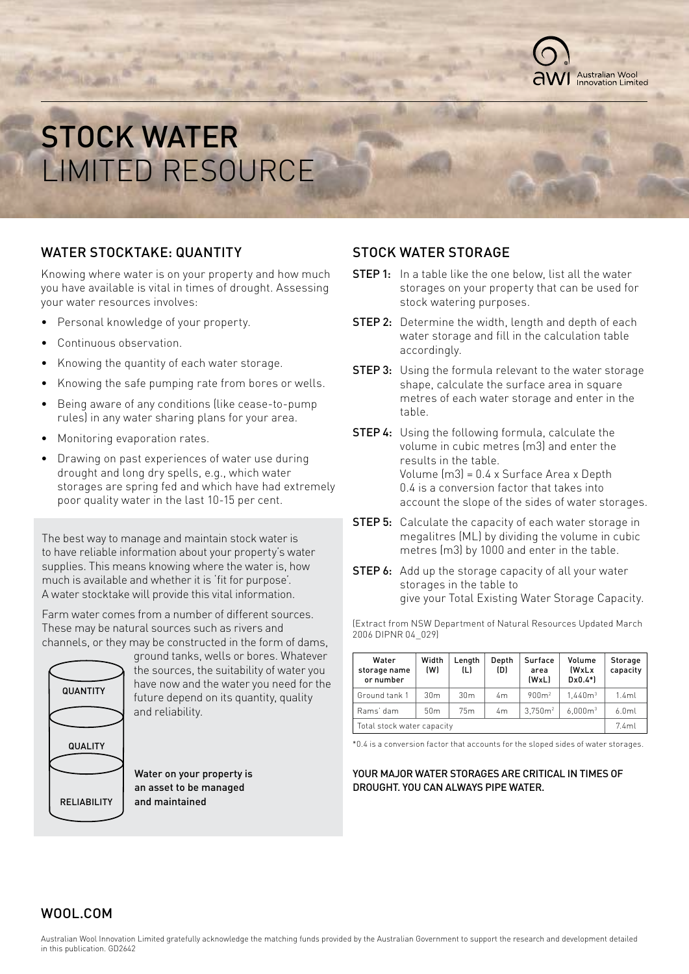

## STOCK WATER LIMITED RESOURCE

### WATER STOCKTAKE: QUANTITY

Knowing where water is on your property and how much you have available is vital in times of drought. Assessing your water resources involves:

- Personal knowledge of your property.
- Continuous observation.
- Knowing the quantity of each water storage.
- Knowing the safe pumping rate from bores or wells.
- Being aware of any conditions (like cease-to-pump rules) in any water sharing plans for your area.
- Monitoring evaporation rates.
- Drawing on past experiences of water use during drought and long dry spells, e.g., which water storages are spring fed and which have had extremely poor quality water in the last 10-15 per cent.

The best way to manage and maintain stock water is to have reliable information about your property's water supplies. This means knowing where the water is, how much is available and whether it is 'fit for purpose'. A water stocktake will provide this vital information.

Farm water comes from a number of different sources. These may be natural sources such as rivers and channels, or they may be constructed in the form of dams,



ground tanks, wells or bores. Whatever the sources, the suitability of water you have now and the water you need for the future depend on its quantity, quality and reliability.

Water on your property is an asset to be managed and maintained

## STOCK WATER STORAGE

- **STEP 1:** In a table like the one below, list all the water storages on your property that can be used for stock watering purposes.
- **STEP 2:** Determine the width, length and depth of each water storage and fill in the calculation table accordingly.
- **STEP 3:** Using the formula relevant to the water storage shape, calculate the surface area in square metres of each water storage and enter in the table.
- **STEP 4:** Using the following formula, calculate the volume in cubic metres (m3) and enter the results in the table. Volume (m3) = 0.4 x Surface Area x Depth 0.4 is a conversion factor that takes into account the slope of the sides of water storages.
- **STEP 5:** Calculate the capacity of each water storage in megalitres (ML) by dividing the volume in cubic metres (m3) by 1000 and enter in the table.
- **STEP 6:** Add up the storage capacity of all your water storages in the table to give your Total Existing Water Storage Capacity.

(Extract from NSW Department of Natural Resources Updated March 2006 DIPNR 04\_029)

| Water<br>storage name<br>or number | Width<br>(W)    | Length<br>(L)   | Depth<br>(D) | Surface<br>area<br>(WxL) | Volume<br><b>IWxLx</b><br>$D \times 0.4$ *) | Storage<br>capacity |
|------------------------------------|-----------------|-----------------|--------------|--------------------------|---------------------------------------------|---------------------|
| Ground tank 1                      | 30 <sub>m</sub> | 30 <sub>m</sub> | 4m           | 900m <sup>2</sup>        | 1.440m <sup>3</sup>                         | 1.4ml               |
| Rams' dam                          | 50 <sub>m</sub> | 75m             | 4m           | 3.750m <sup>2</sup>      | 6.000m <sup>3</sup>                         | 6.0 <sub>m</sub>    |
| Total stock water capacity         |                 |                 |              |                          | 7.4ml                                       |                     |

\*0.4 is a conversion factor that accounts for the sloped sides of water storages.

#### YOUR MAJOR WATER STORAGES ARE CRITICAL IN TIMES OF DROUGHT. YOU CAN ALWAYS PIPE WATER.

## WOOL.COM